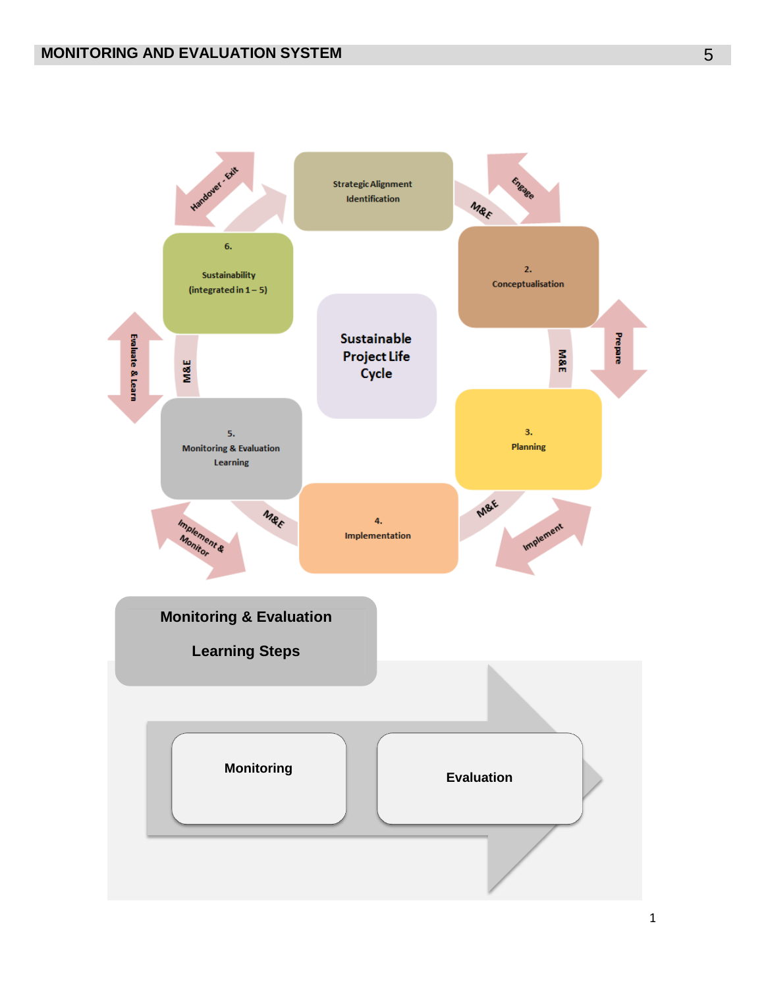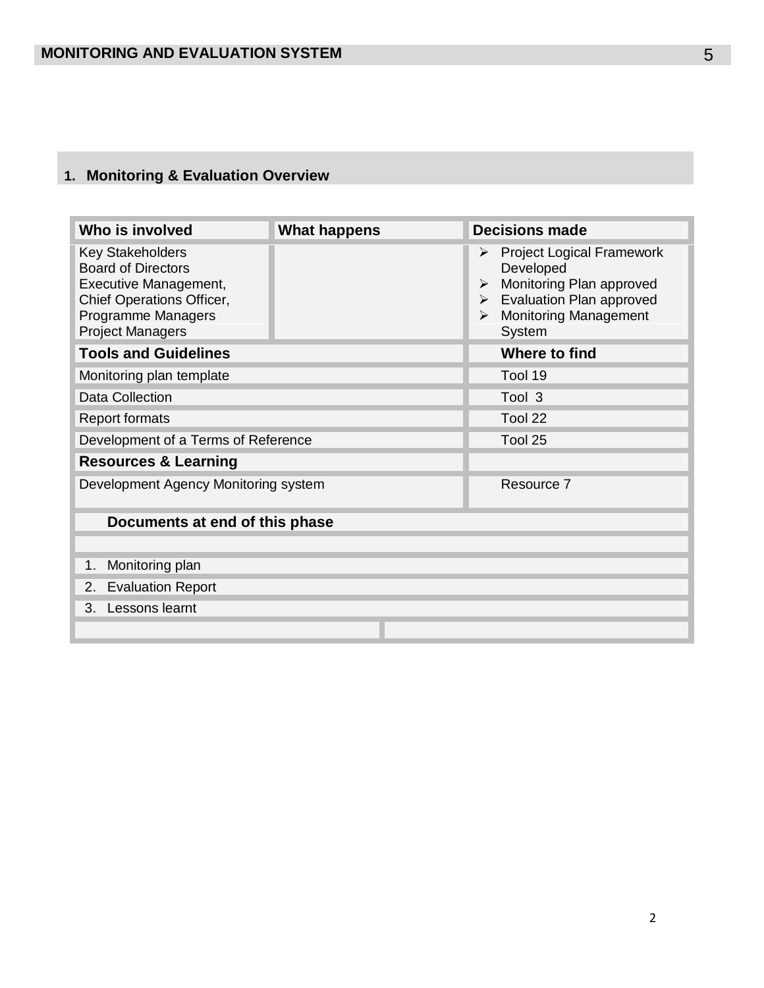### **1. Monitoring & Evaluation Overview**

| Who is involved                                                                                                                                             | <b>What happens</b> | <b>Decisions made</b>                                                                                                                                                                                         |
|-------------------------------------------------------------------------------------------------------------------------------------------------------------|---------------------|---------------------------------------------------------------------------------------------------------------------------------------------------------------------------------------------------------------|
| <b>Key Stakeholders</b><br><b>Board of Directors</b><br>Executive Management,<br>Chief Operations Officer,<br>Programme Managers<br><b>Project Managers</b> |                     | <b>Project Logical Framework</b><br>➤<br>Developed<br>Monitoring Plan approved<br>$\blacktriangleright$<br><b>Evaluation Plan approved</b><br>$\triangleright$<br><b>Monitoring Management</b><br>➤<br>System |
| <b>Tools and Guidelines</b>                                                                                                                                 |                     | Where to find                                                                                                                                                                                                 |
| Monitoring plan template                                                                                                                                    |                     | Tool 19                                                                                                                                                                                                       |
| <b>Data Collection</b>                                                                                                                                      |                     | Tool 3                                                                                                                                                                                                        |
| <b>Report formats</b>                                                                                                                                       |                     | Tool 22                                                                                                                                                                                                       |
| Development of a Terms of Reference                                                                                                                         |                     | Tool 25                                                                                                                                                                                                       |
| <b>Resources &amp; Learning</b>                                                                                                                             |                     |                                                                                                                                                                                                               |
| Development Agency Monitoring system                                                                                                                        |                     | Resource 7                                                                                                                                                                                                    |
| Documents at end of this phase                                                                                                                              |                     |                                                                                                                                                                                                               |
|                                                                                                                                                             |                     |                                                                                                                                                                                                               |
| Monitoring plan<br>1.                                                                                                                                       |                     |                                                                                                                                                                                                               |
| <b>Evaluation Report</b><br>2.                                                                                                                              |                     |                                                                                                                                                                                                               |
| Lessons learnt<br>3.                                                                                                                                        |                     |                                                                                                                                                                                                               |
|                                                                                                                                                             |                     |                                                                                                                                                                                                               |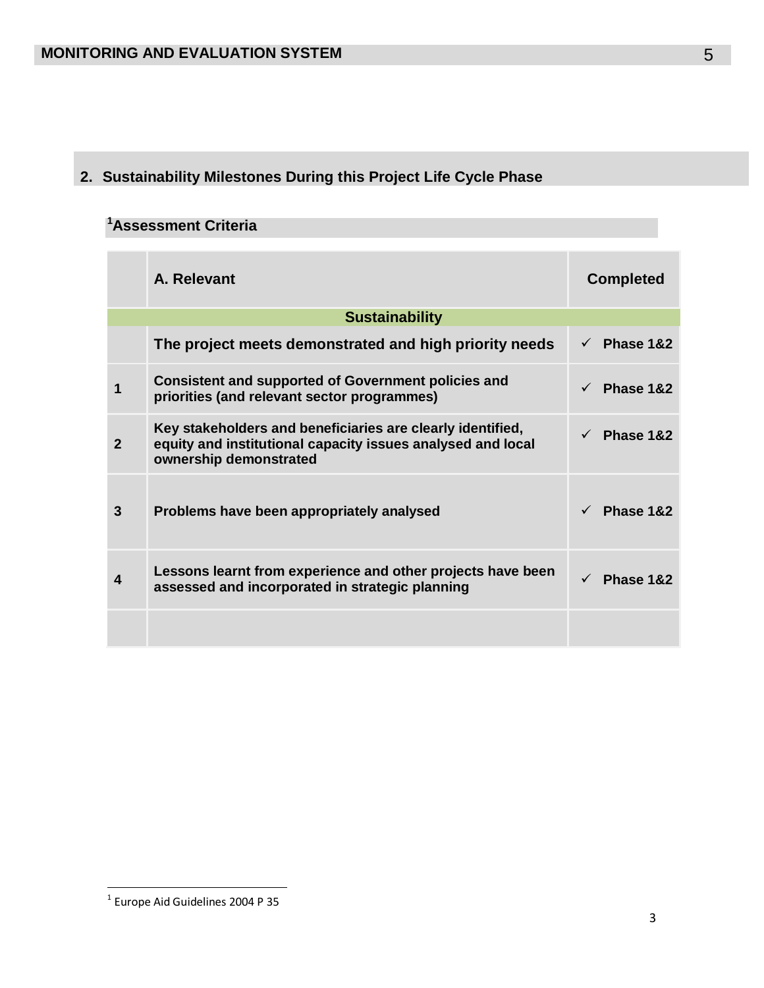# **2. Sustainability Milestones During this Project Life Cycle Phase**

# **<sup>1</sup>Assessment Criteria**

|              | A. Relevant                                                                                                                                         | <b>Completed</b> |
|--------------|-----------------------------------------------------------------------------------------------------------------------------------------------------|------------------|
|              | <b>Sustainability</b>                                                                                                                               |                  |
|              | The project meets demonstrated and high priority needs                                                                                              | Phase 1&2        |
|              | <b>Consistent and supported of Government policies and</b><br>priorities (and relevant sector programmes)                                           | Phase 1&2        |
| $\mathbf{2}$ | Key stakeholders and beneficiaries are clearly identified,<br>equity and institutional capacity issues analysed and local<br>ownership demonstrated | Phase 1&2        |
| 3            | Problems have been appropriately analysed                                                                                                           | Phase 1&2        |
|              | Lessons learnt from experience and other projects have been<br>assessed and incorporated in strategic planning                                      | Phase 1&2        |
|              |                                                                                                                                                     |                  |

 1 Europe Aid Guidelines 2004 P 35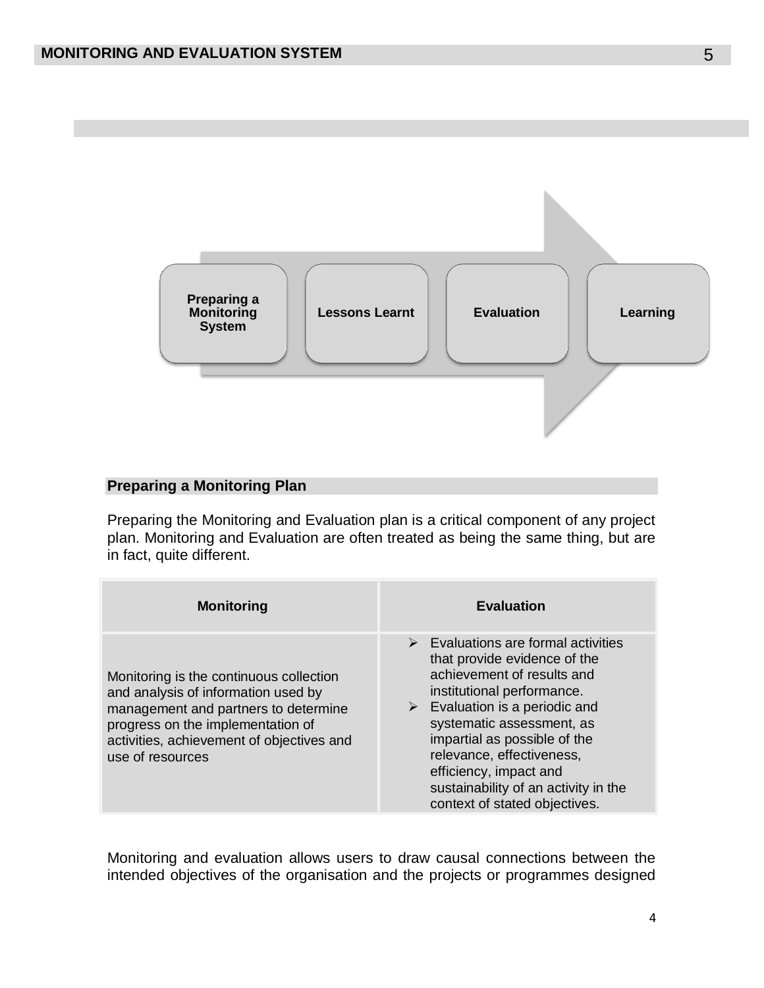

# **Preparing a Monitoring Plan**

Preparing the Monitoring and Evaluation plan is a critical component of any project plan. Monitoring and Evaluation are often treated as being the same thing, but are in fact, quite different.

| <b>Monitoring</b>                                                                                                                                                                                                            | <b>Evaluation</b>                                                                                                                                                                                                                                                                                                                                                                        |
|------------------------------------------------------------------------------------------------------------------------------------------------------------------------------------------------------------------------------|------------------------------------------------------------------------------------------------------------------------------------------------------------------------------------------------------------------------------------------------------------------------------------------------------------------------------------------------------------------------------------------|
| Monitoring is the continuous collection<br>and analysis of information used by<br>management and partners to determine<br>progress on the implementation of<br>activities, achievement of objectives and<br>use of resources | Evaluations are formal activities<br>$\blacktriangleright$<br>that provide evidence of the<br>achievement of results and<br>institutional performance.<br>Evaluation is a periodic and<br>➤<br>systematic assessment, as<br>impartial as possible of the<br>relevance, effectiveness,<br>efficiency, impact and<br>sustainability of an activity in the<br>context of stated objectives. |

Monitoring and evaluation allows users to draw causal connections between the intended objectives of the organisation and the projects or programmes designed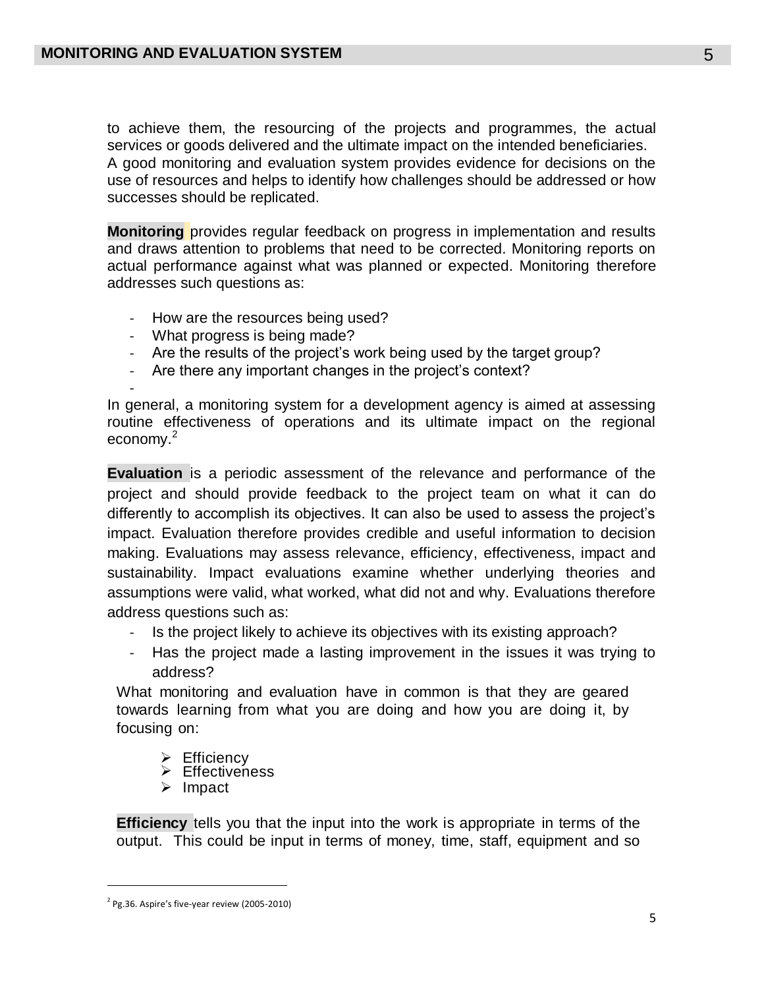to achieve them, the resourcing of the projects and programmes, the actual services or goods delivered and the ultimate impact on the intended beneficiaries. A good monitoring and evaluation system provides evidence for decisions on the use of resources and helps to identify how challenges should be addressed or how successes should be replicated.

**Monitoring** provides regular feedback on progress in implementation and results and draws attention to problems that need to be corrected. Monitoring reports on actual performance against what was planned or expected. Monitoring therefore addresses such questions as:

- How are the resources being used?
- What progress is being made?
- Are the results of the project's work being used by the target group?
- Are there any important changes in the project's context?

- In general, a monitoring system for a development agency is aimed at assessing routine effectiveness of operations and its ultimate impact on the regional economy.<sup>2</sup>

**Evaluation** is a periodic assessment of the relevance and performance of the project and should provide feedback to the project team on what it can do differently to accomplish its objectives. It can also be used to assess the project's impact. Evaluation therefore provides credible and useful information to decision making. Evaluations may assess relevance, efficiency, effectiveness, impact and sustainability. Impact evaluations examine whether underlying theories and assumptions were valid, what worked, what did not and why. Evaluations therefore address questions such as:

- Is the project likely to achieve its objectives with its existing approach?
- Has the project made a lasting improvement in the issues it was trying to address?

What monitoring and evaluation have in common is that they are geared towards learning from what you are doing and how you are doing it, by focusing on:

- $\triangleright$  Efficiency
- Effectiveness
- $\triangleright$  Impact

**Efficiency** tells you that the input into the work is appropriate in terms of the output. This could be input in terms of money, time, staff, equipment and so

 $\overline{a}$ 

 $2$  Pg.36. Aspire's five-year review (2005-2010)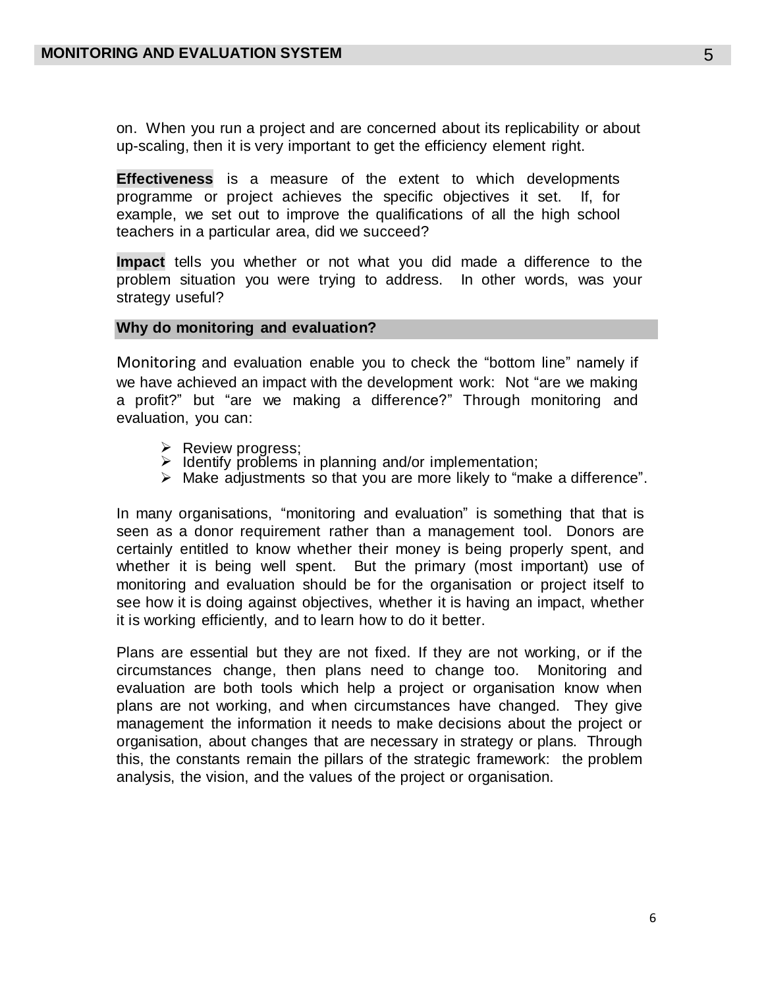on. When you run a project and are concerned about its replicability or about up-scaling, then it is very important to get the efficiency element right.

**Effectiveness** is a measure of the extent to which developments programme or project achieves the specific objectives it set. If, for example, we set out to improve the qualifications of all the high school teachers in a particular area, did we succeed?

**Impact** tells you whether or not what you did made a difference to the problem situation you were trying to address. In other words, was your strategy useful?

#### **Why do monitoring and evaluation?**

Monitoring and evaluation enable you to check the "bottom line" namely if we have achieved an impact with the development work: Not "are we making a profit?" but "are we making a difference?" Through monitoring and evaluation, you can:

- $\triangleright$  Review progress;
- $\triangleright$  Identify problems in planning and/or implementation;
- $\triangleright$  Make adjustments so that you are more likely to "make a difference".

In many organisations, "monitoring and evaluation" is something that that is seen as a donor requirement rather than a management tool. Donors are certainly entitled to know whether their money is being properly spent, and whether it is being well spent. But the primary (most important) use of monitoring and evaluation should be for the organisation or project itself to see how it is doing against objectives, whether it is having an impact, whether it is working efficiently, and to learn how to do it better.

Plans are essential but they are not fixed. If they are not working, or if the circumstances change, then plans need to change too. Monitoring and evaluation are both tools which help a project or organisation know when plans are not working, and when circumstances have changed. They give management the information it needs to make decisions about the project or organisation, about changes that are necessary in strategy or plans. Through this, the constants remain the pillars of the strategic framework: the problem analysis, the vision, and the values of the project or organisation.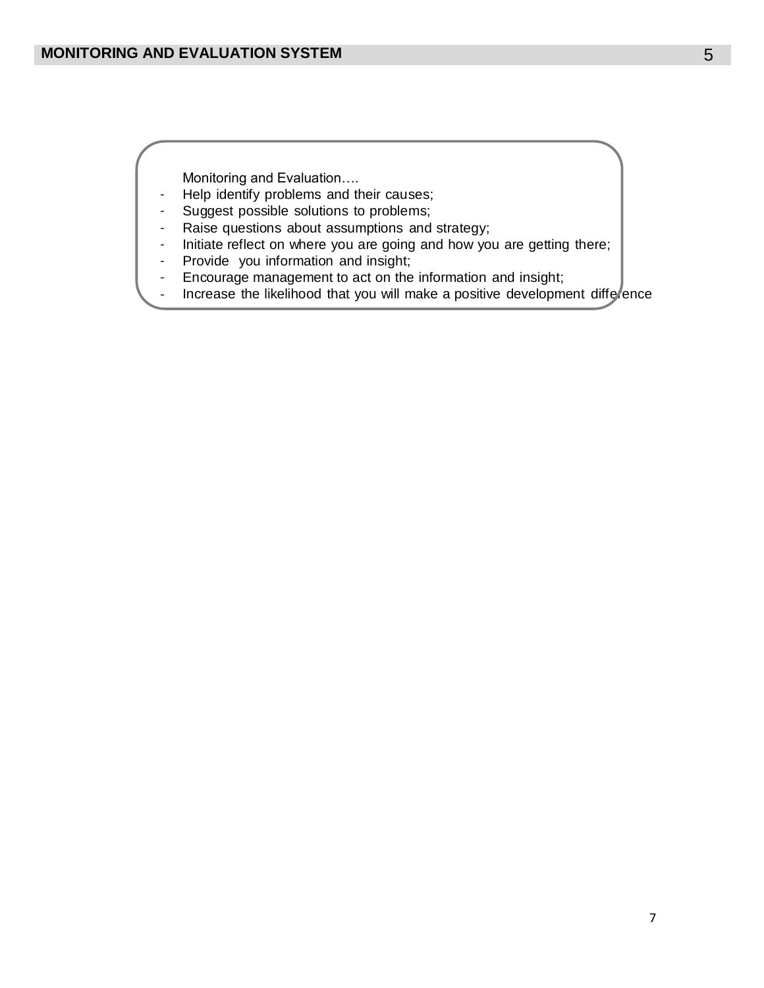Monitoring and Evaluation….

- Help identify problems and their causes;
- Suggest possible solutions to problems;
- Raise questions about assumptions and strategy;
- Initiate reflect on where you are going and how you are getting there;
- Provide you information and insight;
- Encourage management to act on the information and insight;
- Increase the likelihood that you will make a positive development difference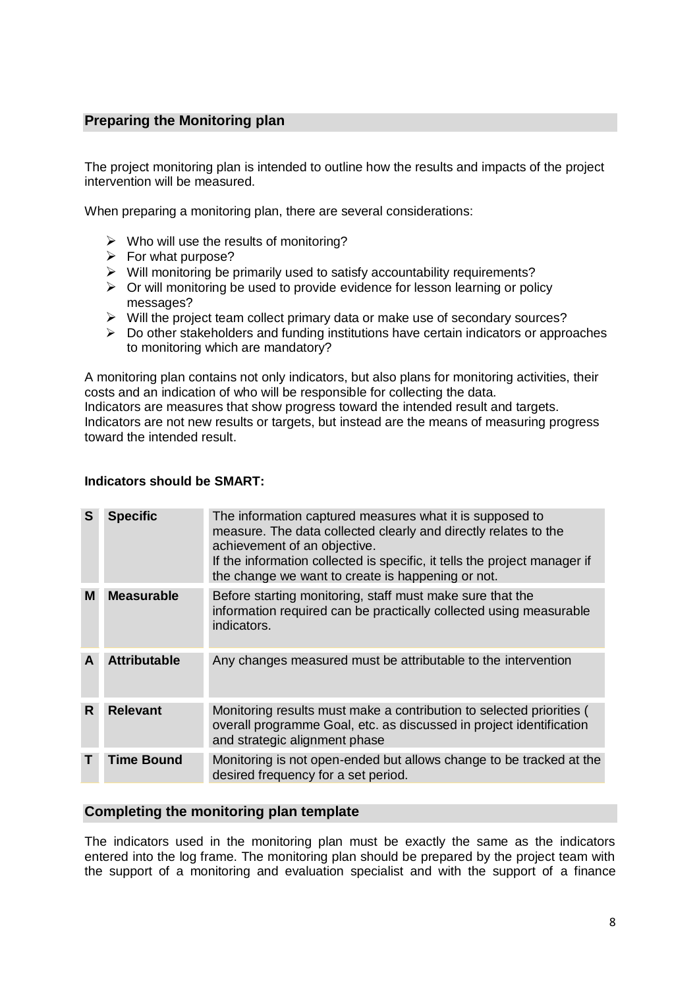# **Preparing the Monitoring plan**

The project monitoring plan is intended to outline how the results and impacts of the project intervention will be measured.

When preparing a monitoring plan, there are several considerations:

- $\triangleright$  Who will use the results of monitoring?
- $\triangleright$  For what purpose?
- $\triangleright$  Will monitoring be primarily used to satisfy accountability requirements?
- $\triangleright$  Or will monitoring be used to provide evidence for lesson learning or policy messages?
- $\triangleright$  Will the project team collect primary data or make use of secondary sources?
- $\triangleright$  Do other stakeholders and funding institutions have certain indicators or approaches to monitoring which are mandatory?

A monitoring plan contains not only indicators, but also plans for monitoring activities, their costs and an indication of who will be responsible for collecting the data. Indicators are measures that show progress toward the intended result and targets. Indicators are not new results or targets, but instead are the means of measuring progress toward the intended result.

#### **Indicators should be SMART:**

| S  | <b>Specific</b>     | The information captured measures what it is supposed to<br>measure. The data collected clearly and directly relates to the<br>achievement of an objective.<br>If the information collected is specific, it tells the project manager if<br>the change we want to create is happening or not. |
|----|---------------------|-----------------------------------------------------------------------------------------------------------------------------------------------------------------------------------------------------------------------------------------------------------------------------------------------|
| М  | <b>Measurable</b>   | Before starting monitoring, staff must make sure that the<br>information required can be practically collected using measurable<br>indicators.                                                                                                                                                |
| A  | <b>Attributable</b> | Any changes measured must be attributable to the intervention                                                                                                                                                                                                                                 |
| R. | <b>Relevant</b>     | Monitoring results must make a contribution to selected priorities (<br>overall programme Goal, etc. as discussed in project identification<br>and strategic alignment phase                                                                                                                  |
|    | <b>Time Bound</b>   | Monitoring is not open-ended but allows change to be tracked at the<br>desired frequency for a set period.                                                                                                                                                                                    |

#### **Completing the monitoring plan template**

The indicators used in the monitoring plan must be exactly the same as the indicators entered into the log frame. The monitoring plan should be prepared by the project team with the support of a monitoring and evaluation specialist and with the support of a finance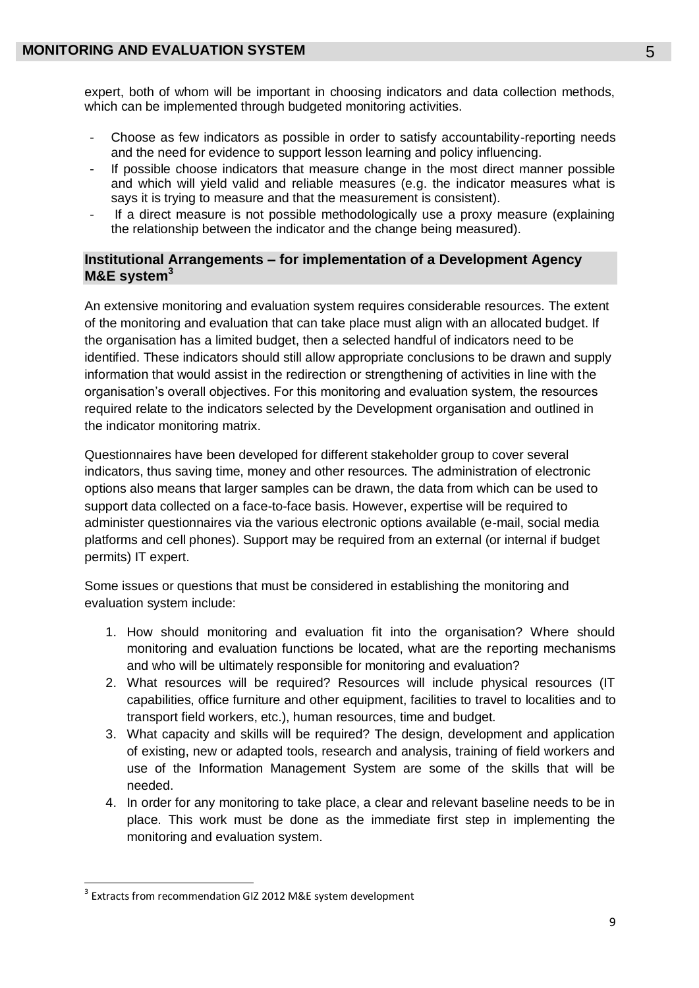expert, both of whom will be important in choosing indicators and data collection methods, which can be implemented through budgeted monitoring activities.

- Choose as few indicators as possible in order to satisfy accountability-reporting needs and the need for evidence to support lesson learning and policy influencing.
- If possible choose indicators that measure change in the most direct manner possible and which will yield valid and reliable measures (e.g. the indicator measures what is says it is trying to measure and that the measurement is consistent).
- If a direct measure is not possible methodologically use a proxy measure (explaining the relationship between the indicator and the change being measured).

# **Institutional Arrangements – for implementation of a Development Agency M&E system<sup>3</sup>**

An extensive monitoring and evaluation system requires considerable resources. The extent of the monitoring and evaluation that can take place must align with an allocated budget. If the organisation has a limited budget, then a selected handful of indicators need to be identified. These indicators should still allow appropriate conclusions to be drawn and supply information that would assist in the redirection or strengthening of activities in line with the organisation's overall objectives. For this monitoring and evaluation system, the resources required relate to the indicators selected by the Development organisation and outlined in the indicator monitoring matrix.

Questionnaires have been developed for different stakeholder group to cover several indicators, thus saving time, money and other resources. The administration of electronic options also means that larger samples can be drawn, the data from which can be used to support data collected on a face-to-face basis. However, expertise will be required to administer questionnaires via the various electronic options available (e-mail, social media platforms and cell phones). Support may be required from an external (or internal if budget permits) IT expert.

Some issues or questions that must be considered in establishing the monitoring and evaluation system include:

- 1. How should monitoring and evaluation fit into the organisation? Where should monitoring and evaluation functions be located, what are the reporting mechanisms and who will be ultimately responsible for monitoring and evaluation?
- 2. What resources will be required? Resources will include physical resources (IT capabilities, office furniture and other equipment, facilities to travel to localities and to transport field workers, etc.), human resources, time and budget.
- 3. What capacity and skills will be required? The design, development and application of existing, new or adapted tools, research and analysis, training of field workers and use of the Information Management System are some of the skills that will be needed.
- 4. In order for any monitoring to take place, a clear and relevant baseline needs to be in place. This work must be done as the immediate first step in implementing the monitoring and evaluation system.

 $\overline{a}$  $3$  Extracts from recommendation GIZ 2012 M&E system development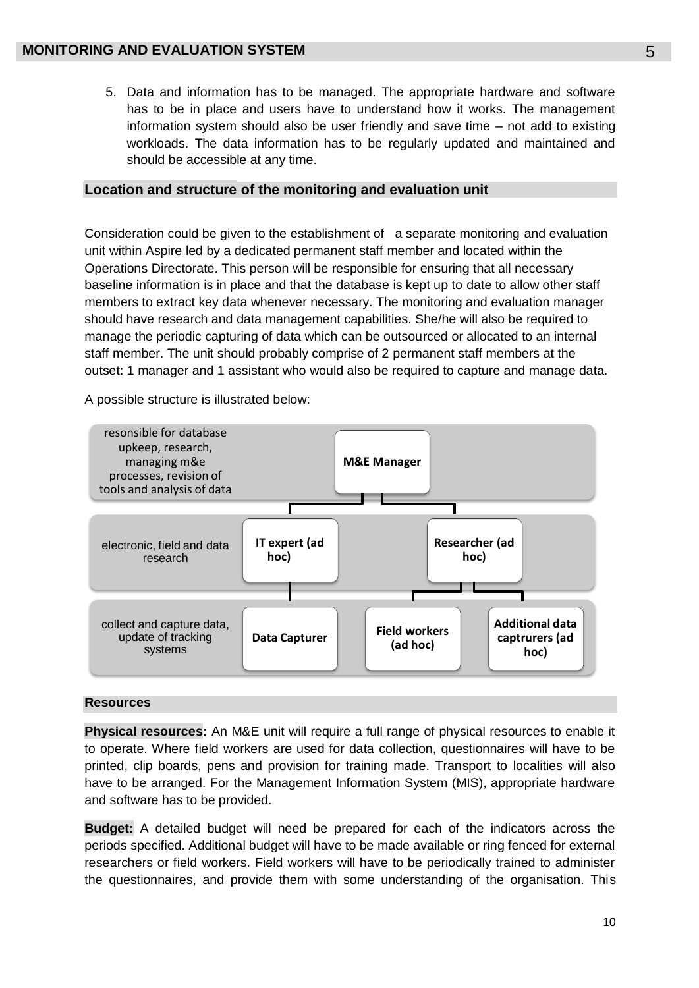5. Data and information has to be managed. The appropriate hardware and software has to be in place and users have to understand how it works. The management information system should also be user friendly and save time – not add to existing workloads. The data information has to be regularly updated and maintained and should be accessible at any time.

#### **Location and structure of the monitoring and evaluation unit**

Consideration could be given to the establishment of a separate monitoring and evaluation unit within Aspire led by a dedicated permanent staff member and located within the Operations Directorate. This person will be responsible for ensuring that all necessary baseline information is in place and that the database is kept up to date to allow other staff members to extract key data whenever necessary. The monitoring and evaluation manager should have research and data management capabilities. She/he will also be required to manage the periodic capturing of data which can be outsourced or allocated to an internal staff member. The unit should probably comprise of 2 permanent staff members at the outset: 1 manager and 1 assistant who would also be required to capture and manage data.

A possible structure is illustrated below:



#### **Resources**

**Physical resources:** An M&E unit will require a full range of physical resources to enable it to operate. Where field workers are used for data collection, questionnaires will have to be printed, clip boards, pens and provision for training made. Transport to localities will also have to be arranged. For the Management Information System (MIS), appropriate hardware and software has to be provided.

**Budget:** A detailed budget will need be prepared for each of the indicators across the periods specified. Additional budget will have to be made available or ring fenced for external researchers or field workers. Field workers will have to be periodically trained to administer the questionnaires, and provide them with some understanding of the organisation. This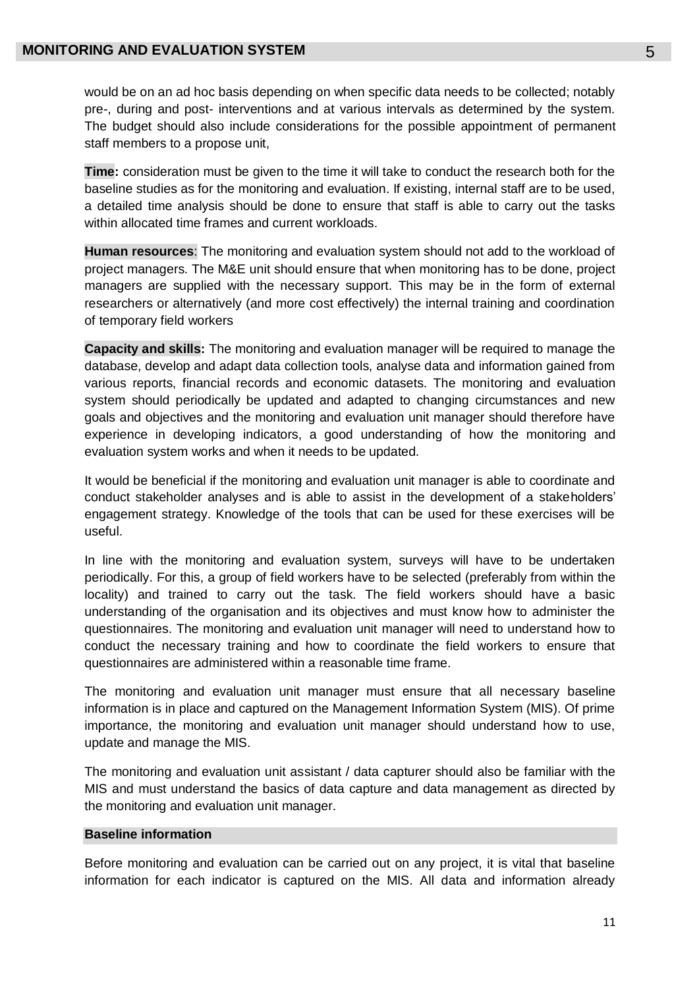would be on an ad hoc basis depending on when specific data needs to be collected; notably pre-, during and post- interventions and at various intervals as determined by the system. The budget should also include considerations for the possible appointment of permanent staff members to a propose unit,

**Time:** consideration must be given to the time it will take to conduct the research both for the baseline studies as for the monitoring and evaluation. If existing, internal staff are to be used, a detailed time analysis should be done to ensure that staff is able to carry out the tasks within allocated time frames and current workloads.

**Human resources**: The monitoring and evaluation system should not add to the workload of project managers. The M&E unit should ensure that when monitoring has to be done, project managers are supplied with the necessary support. This may be in the form of external researchers or alternatively (and more cost effectively) the internal training and coordination of temporary field workers

**Capacity and skills:** The monitoring and evaluation manager will be required to manage the database, develop and adapt data collection tools, analyse data and information gained from various reports, financial records and economic datasets. The monitoring and evaluation system should periodically be updated and adapted to changing circumstances and new goals and objectives and the monitoring and evaluation unit manager should therefore have experience in developing indicators, a good understanding of how the monitoring and evaluation system works and when it needs to be updated.

It would be beneficial if the monitoring and evaluation unit manager is able to coordinate and conduct stakeholder analyses and is able to assist in the development of a stakeholders' engagement strategy. Knowledge of the tools that can be used for these exercises will be useful.

In line with the monitoring and evaluation system, surveys will have to be undertaken periodically. For this, a group of field workers have to be selected (preferably from within the locality) and trained to carry out the task. The field workers should have a basic understanding of the organisation and its objectives and must know how to administer the questionnaires. The monitoring and evaluation unit manager will need to understand how to conduct the necessary training and how to coordinate the field workers to ensure that questionnaires are administered within a reasonable time frame.

The monitoring and evaluation unit manager must ensure that all necessary baseline information is in place and captured on the Management Information System (MIS). Of prime importance, the monitoring and evaluation unit manager should understand how to use, update and manage the MIS.

The monitoring and evaluation unit assistant / data capturer should also be familiar with the MIS and must understand the basics of data capture and data management as directed by the monitoring and evaluation unit manager.

#### **Baseline information**

Before monitoring and evaluation can be carried out on any project, it is vital that baseline information for each indicator is captured on the MIS. All data and information already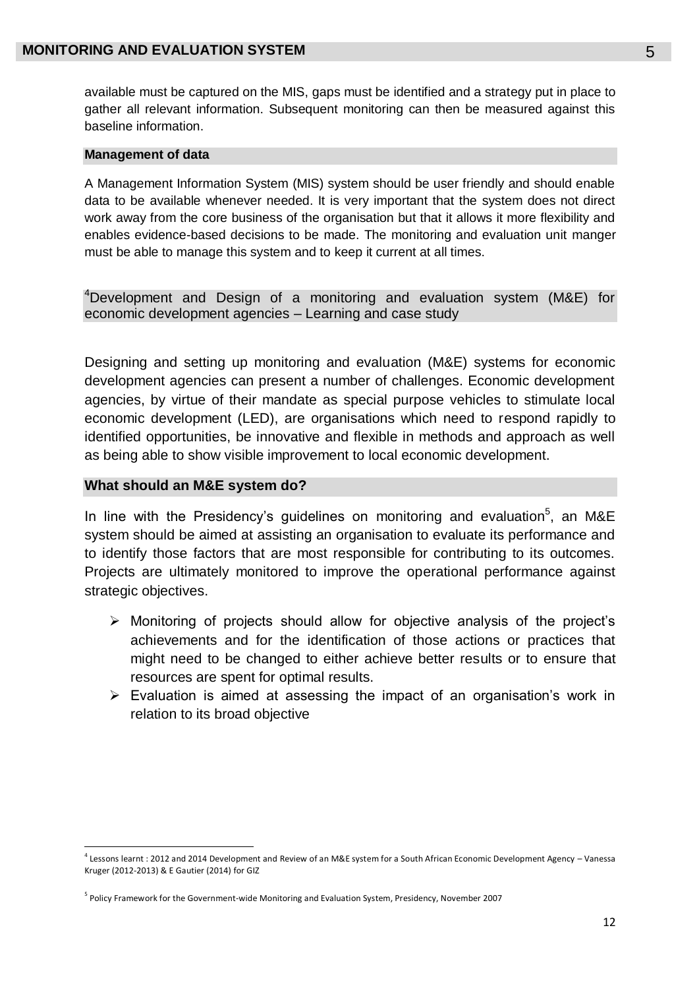available must be captured on the MIS, gaps must be identified and a strategy put in place to gather all relevant information. Subsequent monitoring can then be measured against this baseline information.

#### **Management of data**

A Management Information System (MIS) system should be user friendly and should enable data to be available whenever needed. It is very important that the system does not direct work away from the core business of the organisation but that it allows it more flexibility and enables evidence-based decisions to be made. The monitoring and evaluation unit manger must be able to manage this system and to keep it current at all times.

<sup>4</sup>Development and Design of a monitoring and evaluation system (M&E) for economic development agencies – Learning and case study

Designing and setting up monitoring and evaluation (M&E) systems for economic development agencies can present a number of challenges. Economic development agencies, by virtue of their mandate as special purpose vehicles to stimulate local economic development (LED), are organisations which need to respond rapidly to identified opportunities, be innovative and flexible in methods and approach as well as being able to show visible improvement to local economic development.

#### **What should an M&E system do?**

 $\overline{\phantom{a}}$ 

In line with the Presidency's guidelines on monitoring and evaluation<sup>5</sup>, an M&E system should be aimed at assisting an organisation to evaluate its performance and to identify those factors that are most responsible for contributing to its outcomes. Projects are ultimately monitored to improve the operational performance against strategic objectives.

- $\triangleright$  Monitoring of projects should allow for objective analysis of the project's achievements and for the identification of those actions or practices that might need to be changed to either achieve better results or to ensure that resources are spent for optimal results.
- $\triangleright$  Evaluation is aimed at assessing the impact of an organisation's work in relation to its broad objective

<sup>4</sup> Lessons learnt : 2012 and 2014 Development and Review of an M&E system for a South African Economic Development Agency – Vanessa Kruger (2012-2013) & E Gautier (2014) for GIZ

<sup>5</sup> Policy Framework for the Government-wide Monitoring and Evaluation System, Presidency, November 2007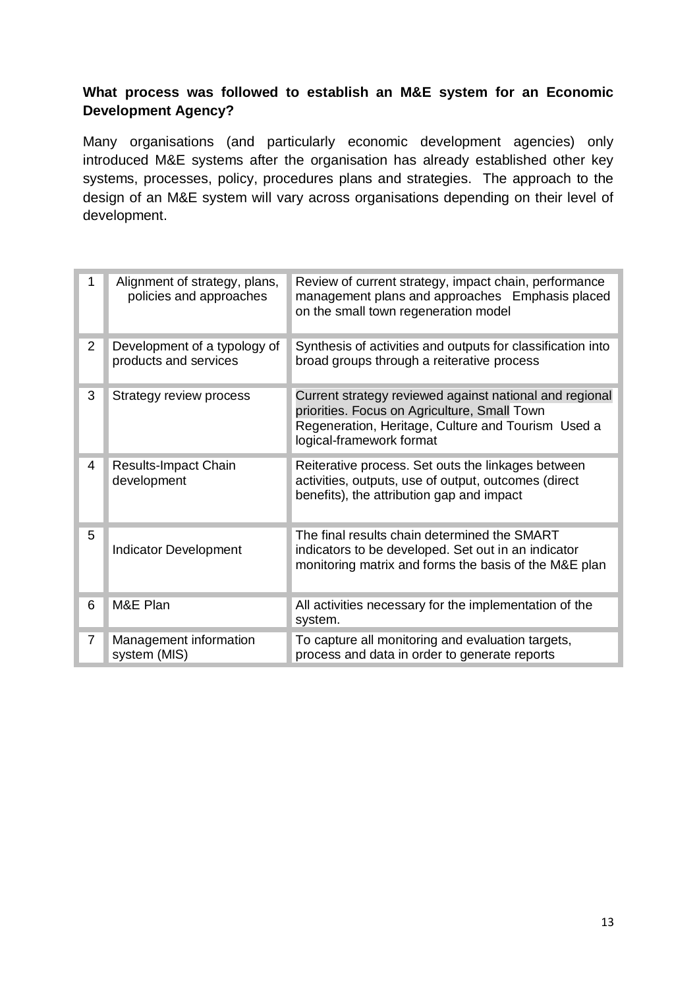# **What process was followed to establish an M&E system for an Economic Development Agency?**

Many organisations (and particularly economic development agencies) only introduced M&E systems after the organisation has already established other key systems, processes, policy, procedures plans and strategies. The approach to the design of an M&E system will vary across organisations depending on their level of development.

|   | Alignment of strategy, plans,<br>policies and approaches | Review of current strategy, impact chain, performance<br>management plans and approaches Emphasis placed<br>on the small town regeneration model                                          |
|---|----------------------------------------------------------|-------------------------------------------------------------------------------------------------------------------------------------------------------------------------------------------|
| 2 | Development of a typology of<br>products and services    | Synthesis of activities and outputs for classification into<br>broad groups through a reiterative process                                                                                 |
| 3 | Strategy review process                                  | Current strategy reviewed against national and regional<br>priorities. Focus on Agriculture, Small Town<br>Regeneration, Heritage, Culture and Tourism Used a<br>logical-framework format |
| 4 | <b>Results-Impact Chain</b><br>development               | Reiterative process. Set outs the linkages between<br>activities, outputs, use of output, outcomes (direct<br>benefits), the attribution gap and impact                                   |
| 5 | <b>Indicator Development</b>                             | The final results chain determined the SMART<br>indicators to be developed. Set out in an indicator<br>monitoring matrix and forms the basis of the M&E plan                              |
| 6 | M&E Plan                                                 | All activities necessary for the implementation of the<br>system.                                                                                                                         |
| 7 | Management information<br>system (MIS)                   | To capture all monitoring and evaluation targets,<br>process and data in order to generate reports                                                                                        |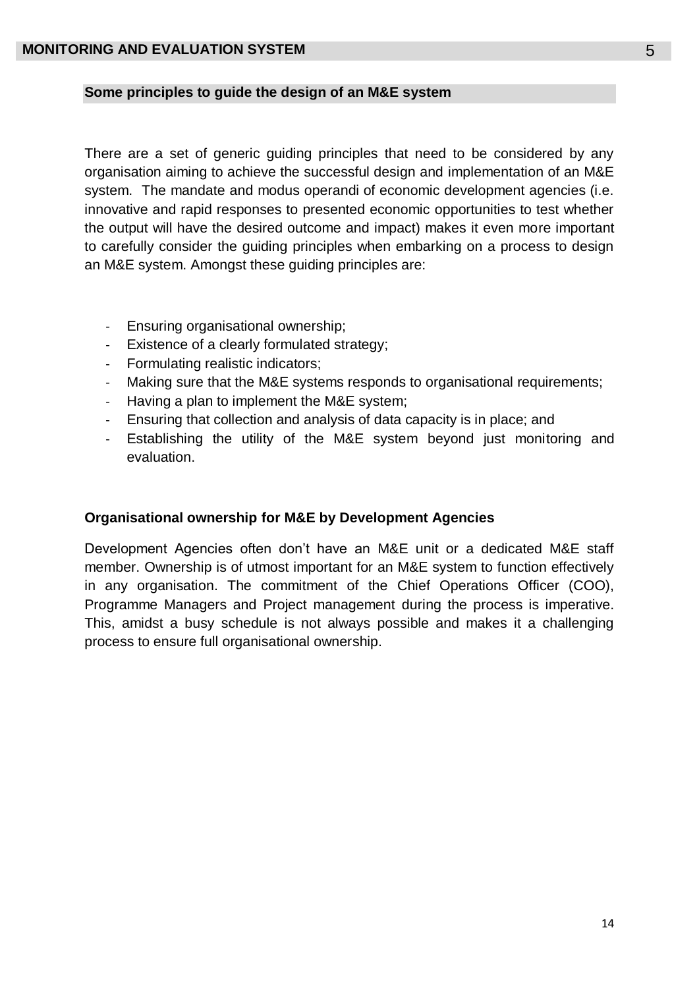### **Some principles to guide the design of an M&E system**

There are a set of generic guiding principles that need to be considered by any organisation aiming to achieve the successful design and implementation of an M&E system. The mandate and modus operandi of economic development agencies (i.e. innovative and rapid responses to presented economic opportunities to test whether the output will have the desired outcome and impact) makes it even more important to carefully consider the guiding principles when embarking on a process to design an M&E system. Amongst these guiding principles are:

- Ensuring organisational ownership;
- Existence of a clearly formulated strategy;
- Formulating realistic indicators;
- Making sure that the M&E systems responds to organisational requirements;
- Having a plan to implement the M&E system;
- Ensuring that collection and analysis of data capacity is in place; and
- Establishing the utility of the M&E system beyond just monitoring and evaluation.

# **Organisational ownership for M&E by Development Agencies**

Development Agencies often don't have an M&E unit or a dedicated M&E staff member. Ownership is of utmost important for an M&E system to function effectively in any organisation. The commitment of the Chief Operations Officer (COO), Programme Managers and Project management during the process is imperative. This, amidst a busy schedule is not always possible and makes it a challenging process to ensure full organisational ownership.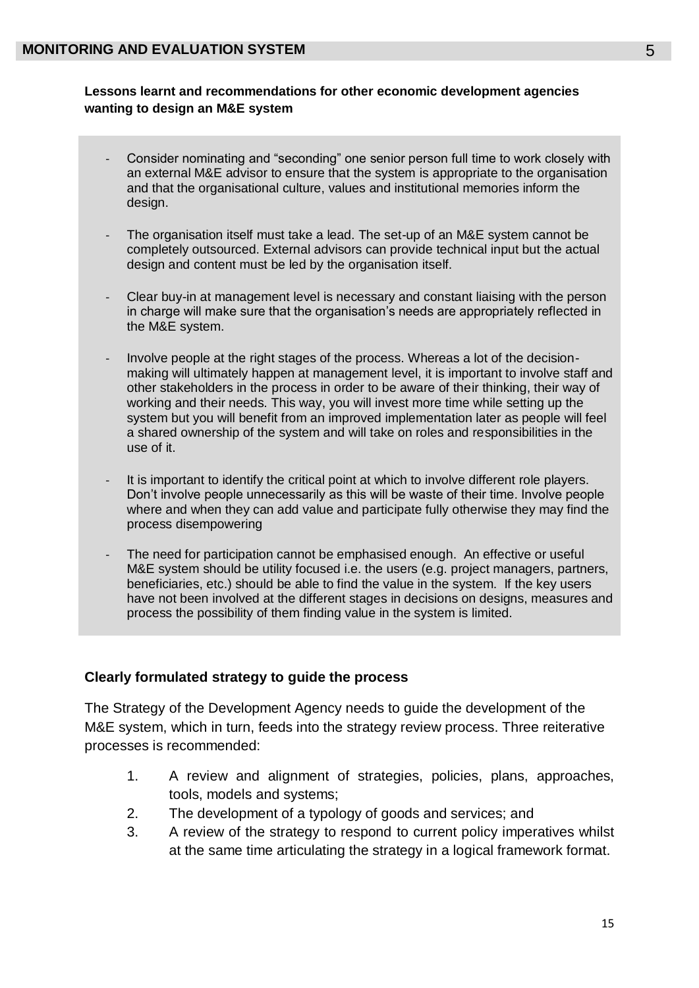# **Lessons learnt and recommendations for other economic development agencies wanting to design an M&E system**

- Consider nominating and "seconding" one senior person full time to work closely with an external M&E advisor to ensure that the system is appropriate to the organisation and that the organisational culture, values and institutional memories inform the design.
- The organisation itself must take a lead. The set-up of an M&E system cannot be completely outsourced. External advisors can provide technical input but the actual design and content must be led by the organisation itself.
- Clear buy-in at management level is necessary and constant liaising with the person in charge will make sure that the organisation's needs are appropriately reflected in the M&E system.
- Involve people at the right stages of the process. Whereas a lot of the decisionmaking will ultimately happen at management level, it is important to involve staff and other stakeholders in the process in order to be aware of their thinking, their way of working and their needs. This way, you will invest more time while setting up the system but you will benefit from an improved implementation later as people will feel a shared ownership of the system and will take on roles and responsibilities in the use of it.
- It is important to identify the critical point at which to involve different role players. Don't involve people unnecessarily as this will be waste of their time. Involve people where and when they can add value and participate fully otherwise they may find the process disempowering
- The need for participation cannot be emphasised enough. An effective or useful M&E system should be utility focused i.e. the users (e.g. project managers, partners, beneficiaries, etc.) should be able to find the value in the system. If the key users have not been involved at the different stages in decisions on designs, measures and process the possibility of them finding value in the system is limited.

# **Clearly formulated strategy to guide the process**

The Strategy of the Development Agency needs to guide the development of the M&E system, which in turn, feeds into the strategy review process. Three reiterative processes is recommended:

- 1. A review and alignment of strategies, policies, plans, approaches, tools, models and systems;
- 2. The development of a typology of goods and services; and
- 3. A review of the strategy to respond to current policy imperatives whilst at the same time articulating the strategy in a logical framework format.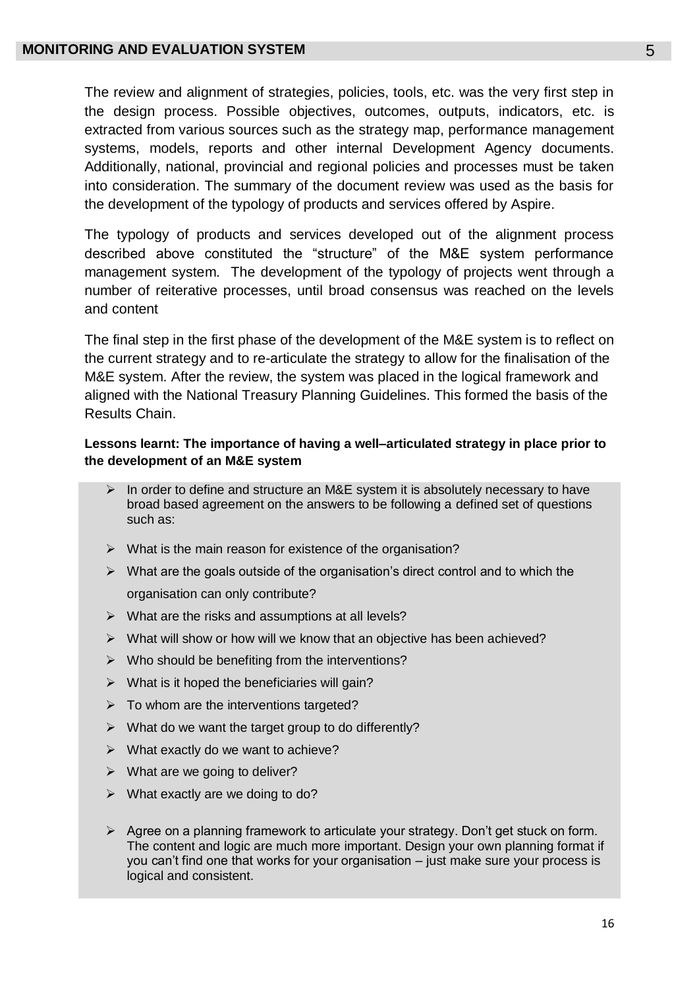The review and alignment of strategies, policies, tools, etc. was the very first step in the design process. Possible objectives, outcomes, outputs, indicators, etc. is extracted from various sources such as the strategy map, performance management systems, models, reports and other internal Development Agency documents. Additionally, national, provincial and regional policies and processes must be taken into consideration. The summary of the document review was used as the basis for the development of the typology of products and services offered by Aspire.

The typology of products and services developed out of the alignment process described above constituted the "structure" of the M&E system performance management system. The development of the typology of projects went through a number of reiterative processes, until broad consensus was reached on the levels and content

The final step in the first phase of the development of the M&E system is to reflect on the current strategy and to re-articulate the strategy to allow for the finalisation of the M&E system. After the review, the system was placed in the logical framework and aligned with the National Treasury Planning Guidelines. This formed the basis of the Results Chain.

### **Lessons learnt: The importance of having a well–articulated strategy in place prior to the development of an M&E system**

- $\triangleright$  In order to define and structure an M&E system it is absolutely necessary to have broad based agreement on the answers to be following a defined set of questions such as:
- $\triangleright$  What is the main reason for existence of the organisation?
- $\triangleright$  What are the goals outside of the organisation's direct control and to which the organisation can only contribute?
- $\triangleright$  What are the risks and assumptions at all levels?
- $\triangleright$  What will show or how will we know that an objective has been achieved?
- $\triangleright$  Who should be benefiting from the interventions?
- $\triangleright$  What is it hoped the beneficiaries will gain?
- $\triangleright$  To whom are the interventions targeted?
- $\triangleright$  What do we want the target group to do differently?
- $\triangleright$  What exactly do we want to achieve?
- $\triangleright$  What are we going to deliver?
- $\triangleright$  What exactly are we doing to do?
- $\triangleright$  Agree on a planning framework to articulate your strategy. Don't get stuck on form. The content and logic are much more important. Design your own planning format if you can't find one that works for your organisation – just make sure your process is logical and consistent.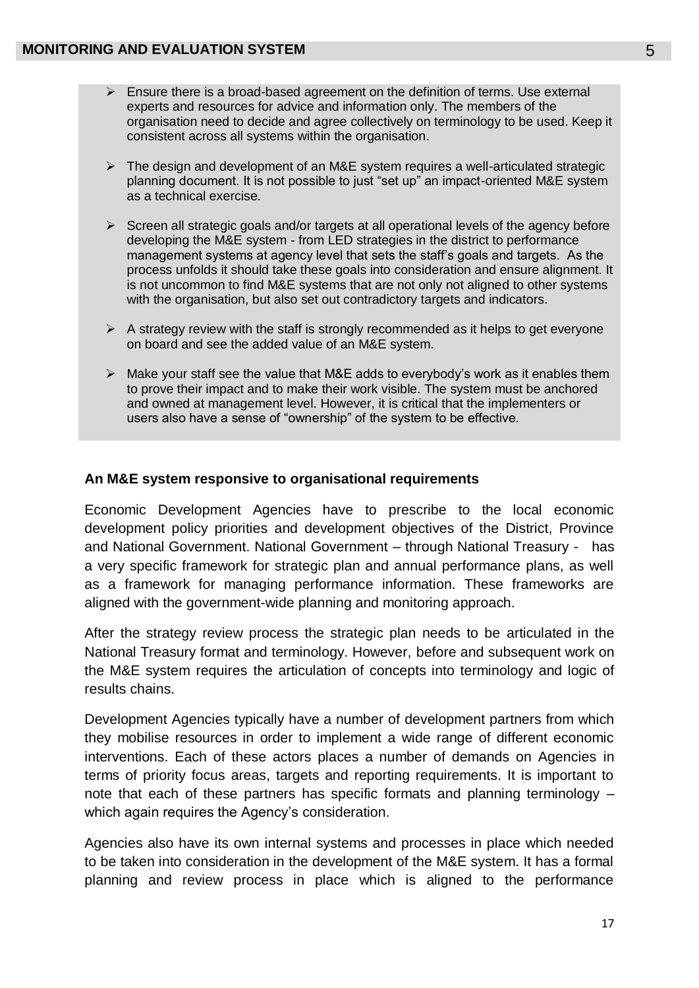- $\triangleright$  Ensure there is a broad-based agreement on the definition of terms. Use external experts and resources for advice and information only. The members of the organisation need to decide and agree collectively on terminology to be used. Keep it consistent across all systems within the organisation.
- $\triangleright$  The design and development of an M&E system requires a well-articulated strategic planning document. It is not possible to just "set up" an impact-oriented M&E system as a technical exercise.
- $\triangleright$  Screen all strategic goals and/or targets at all operational levels of the agency before developing the M&E system - from LED strategies in the district to performance management systems at agency level that sets the staff's goals and targets. As the process unfolds it should take these goals into consideration and ensure alignment. It is not uncommon to find M&E systems that are not only not aligned to other systems with the organisation, but also set out contradictory targets and indicators.
- $\triangleright$  A strategy review with the staff is strongly recommended as it helps to get everyone on board and see the added value of an M&E system.
- $\triangleright$  Make your staff see the value that M&E adds to everybody's work as it enables them to prove their impact and to make their work visible. The system must be anchored and owned at management level. However, it is critical that the implementers or users also have a sense of "ownership" of the system to be effective.

### **An M&E system responsive to organisational requirements**

Economic Development Agencies have to prescribe to the local economic development policy priorities and development objectives of the District, Province and National Government. National Government – through National Treasury - has a very specific framework for strategic plan and annual performance plans, as well as a framework for managing performance information. These frameworks are aligned with the government-wide planning and monitoring approach.

After the strategy review process the strategic plan needs to be articulated in the National Treasury format and terminology. However, before and subsequent work on the M&E system requires the articulation of concepts into terminology and logic of results chains.

Development Agencies typically have a number of development partners from which they mobilise resources in order to implement a wide range of different economic interventions. Each of these actors places a number of demands on Agencies in terms of priority focus areas, targets and reporting requirements. It is important to note that each of these partners has specific formats and planning terminology – which again requires the Agency's consideration.

Agencies also have its own internal systems and processes in place which needed to be taken into consideration in the development of the M&E system. It has a formal planning and review process in place which is aligned to the performance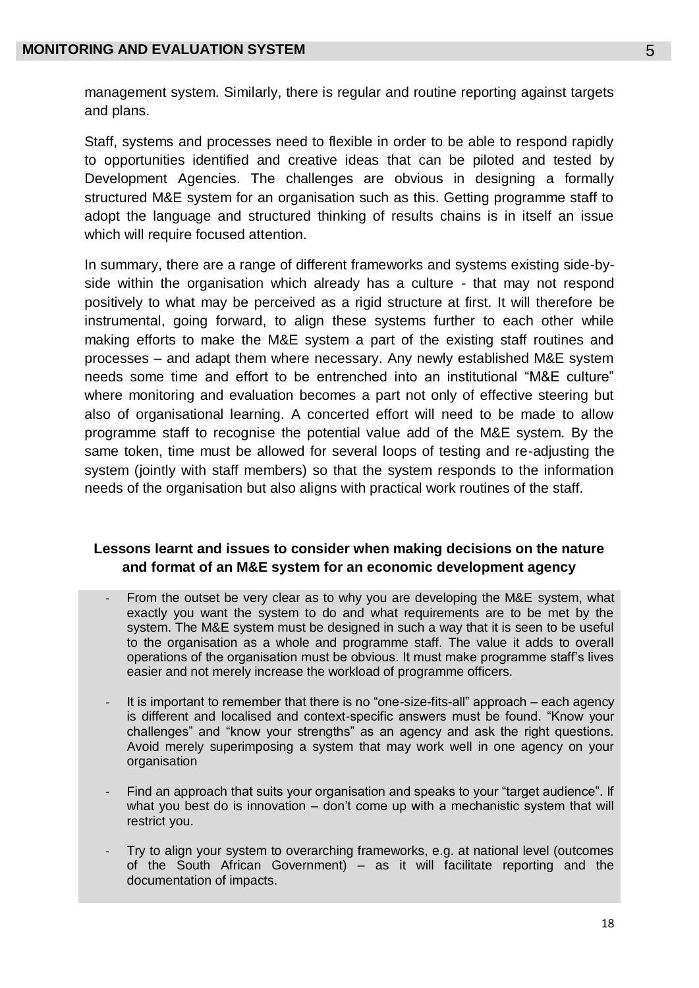management system. Similarly, there is regular and routine reporting against targets and plans.

Staff, systems and processes need to flexible in order to be able to respond rapidly to opportunities identified and creative ideas that can be piloted and tested by Development Agencies. The challenges are obvious in designing a formally structured M&E system for an organisation such as this. Getting programme staff to adopt the language and structured thinking of results chains is in itself an issue which will require focused attention.

In summary, there are a range of different frameworks and systems existing side-byside within the organisation which already has a culture - that may not respond positively to what may be perceived as a rigid structure at first. It will therefore be instrumental, going forward, to align these systems further to each other while making efforts to make the M&E system a part of the existing staff routines and processes – and adapt them where necessary. Any newly established M&E system needs some time and effort to be entrenched into an institutional "M&E culture" where monitoring and evaluation becomes a part not only of effective steering but also of organisational learning. A concerted effort will need to be made to allow programme staff to recognise the potential value add of the M&E system. By the same token, time must be allowed for several loops of testing and re-adjusting the system (jointly with staff members) so that the system responds to the information needs of the organisation but also aligns with practical work routines of the staff.

# **Lessons learnt and issues to consider when making decisions on the nature and format of an M&E system for an economic development agency**

- From the outset be very clear as to why you are developing the M&E system, what exactly you want the system to do and what requirements are to be met by the system. The M&E system must be designed in such a way that it is seen to be useful to the organisation as a whole and programme staff. The value it adds to overall operations of the organisation must be obvious. It must make programme staff's lives easier and not merely increase the workload of programme officers.
- It is important to remember that there is no "one-size-fits-all" approach each agency is different and localised and context-specific answers must be found. "Know your challenges" and "know your strengths" as an agency and ask the right questions. Avoid merely superimposing a system that may work well in one agency on your organisation
- Find an approach that suits your organisation and speaks to your "target audience". If what you best do is innovation – don't come up with a mechanistic system that will restrict you.
- Try to align your system to overarching frameworks, e.g. at national level (outcomes of the South African Government) – as it will facilitate reporting and the documentation of impacts.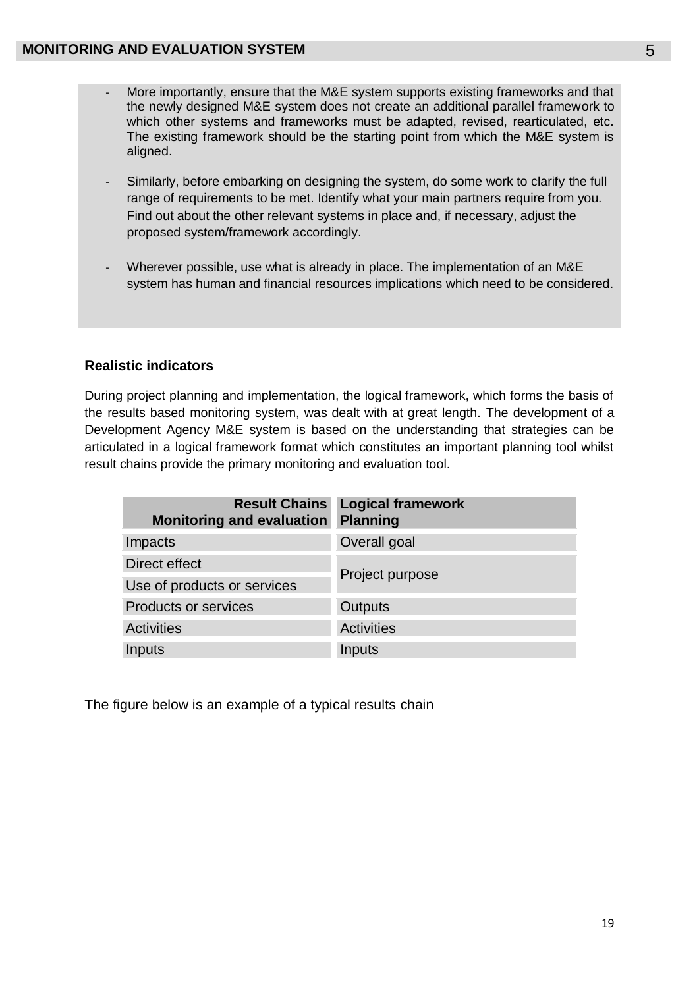- More importantly, ensure that the M&E system supports existing frameworks and that the newly designed M&E system does not create an additional parallel framework to which other systems and frameworks must be adapted, revised, rearticulated, etc. The existing framework should be the starting point from which the M&E system is aligned.
- Similarly, before embarking on designing the system, do some work to clarify the full range of requirements to be met. Identify what your main partners require from you. Find out about the other relevant systems in place and, if necessary, adjust the proposed system/framework accordingly.
- Wherever possible, use what is already in place. The implementation of an M&E system has human and financial resources implications which need to be considered.

# **Realistic indicators**

During project planning and implementation, the logical framework, which forms the basis of the results based monitoring system, was dealt with at great length. The development of a Development Agency M&E system is based on the understanding that strategies can be articulated in a logical framework format which constitutes an important planning tool whilst result chains provide the primary monitoring and evaluation tool.

| <b>Monitoring and evaluation</b> | <b>Result Chains Logical framework</b><br><b>Planning</b> |  |
|----------------------------------|-----------------------------------------------------------|--|
| Impacts                          | Overall goal                                              |  |
| Direct effect                    |                                                           |  |
| Use of products or services      | Project purpose                                           |  |
| <b>Products or services</b>      | <b>Outputs</b>                                            |  |
| <b>Activities</b>                | <b>Activities</b>                                         |  |
| Inputs                           | Inputs                                                    |  |

The figure below is an example of a typical results chain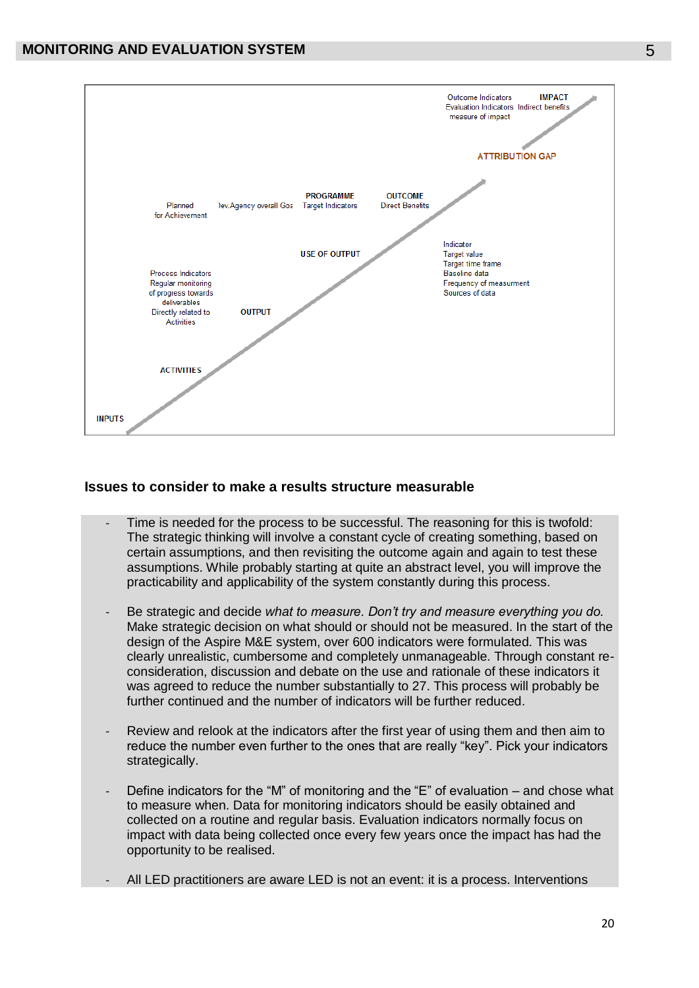

#### **Issues to consider to make a results structure measurable**

- Time is needed for the process to be successful. The reasoning for this is twofold: The strategic thinking will involve a constant cycle of creating something, based on certain assumptions, and then revisiting the outcome again and again to test these assumptions. While probably starting at quite an abstract level, you will improve the practicability and applicability of the system constantly during this process.
- Be strategic and decide *what to measure. Don't try and measure everything you do.*  Make strategic decision on what should or should not be measured. In the start of the design of the Aspire M&E system, over 600 indicators were formulated. This was clearly unrealistic, cumbersome and completely unmanageable. Through constant reconsideration, discussion and debate on the use and rationale of these indicators it was agreed to reduce the number substantially to 27. This process will probably be further continued and the number of indicators will be further reduced.
- Review and relook at the indicators after the first year of using them and then aim to reduce the number even further to the ones that are really "key". Pick your indicators strategically.
- Define indicators for the "M" of monitoring and the "E" of evaluation and chose what to measure when. Data for monitoring indicators should be easily obtained and collected on a routine and regular basis. Evaluation indicators normally focus on impact with data being collected once every few years once the impact has had the opportunity to be realised.
- All LED practitioners are aware LED is not an event: it is a process. Interventions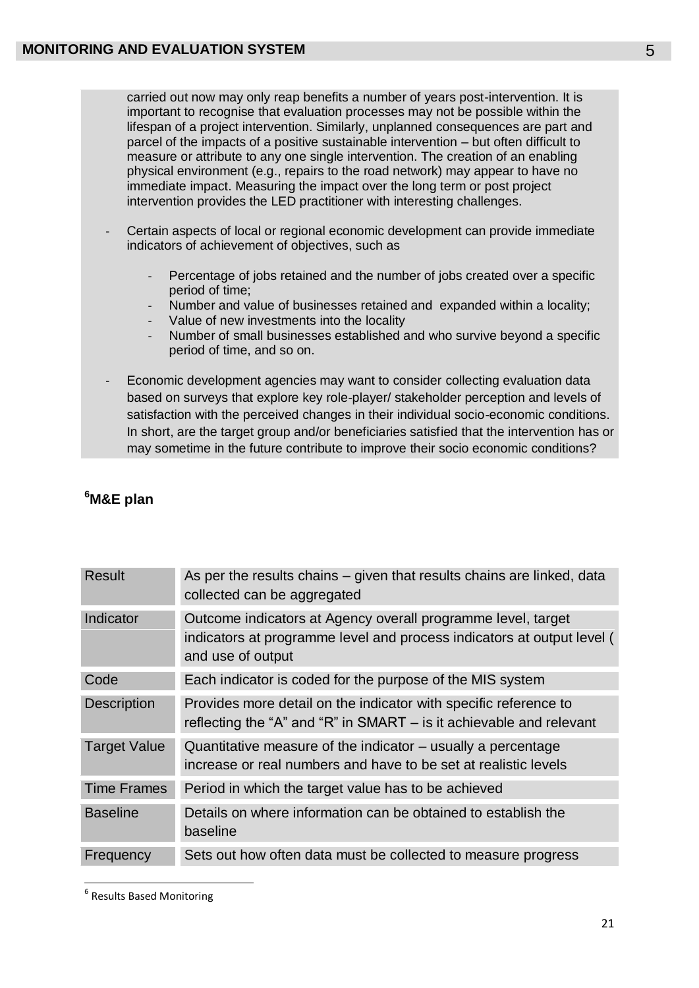carried out now may only reap benefits a number of years post-intervention. It is important to recognise that evaluation processes may not be possible within the lifespan of a project intervention. Similarly, unplanned consequences are part and parcel of the impacts of a positive sustainable intervention – but often difficult to measure or attribute to any one single intervention. The creation of an enabling physical environment (e.g., repairs to the road network) may appear to have no immediate impact. Measuring the impact over the long term or post project intervention provides the LED practitioner with interesting challenges.

- Certain aspects of local or regional economic development can provide immediate indicators of achievement of objectives, such as
	- Percentage of jobs retained and the number of jobs created over a specific period of time;
	- Number and value of businesses retained and expanded within a locality;
	- Value of new investments into the locality
	- Number of small businesses established and who survive beyond a specific period of time, and so on.
- Economic development agencies may want to consider collecting evaluation data based on surveys that explore key role-player/ stakeholder perception and levels of satisfaction with the perceived changes in their individual socio-economic conditions. In short, are the target group and/or beneficiaries satisfied that the intervention has or may sometime in the future contribute to improve their socio economic conditions?

| Result              | As per the results chains – given that results chains are linked, data<br>collected can be aggregated                                                       |
|---------------------|-------------------------------------------------------------------------------------------------------------------------------------------------------------|
| Indicator           | Outcome indicators at Agency overall programme level, target<br>indicators at programme level and process indicators at output level (<br>and use of output |
| Code                | Each indicator is coded for the purpose of the MIS system                                                                                                   |
| <b>Description</b>  | Provides more detail on the indicator with specific reference to<br>reflecting the "A" and "R" in SMART $-$ is it achievable and relevant                   |
| <b>Target Value</b> | Quantitative measure of the indicator – usually a percentage<br>increase or real numbers and have to be set at realistic levels                             |
| <b>Time Frames</b>  | Period in which the target value has to be achieved                                                                                                         |
| <b>Baseline</b>     | Details on where information can be obtained to establish the<br>baseline                                                                                   |
| Frequency           | Sets out how often data must be collected to measure progress                                                                                               |

# **<sup>6</sup>M&E plan**

**.** 

<sup>&</sup>lt;sup>6</sup> Results Based Monitoring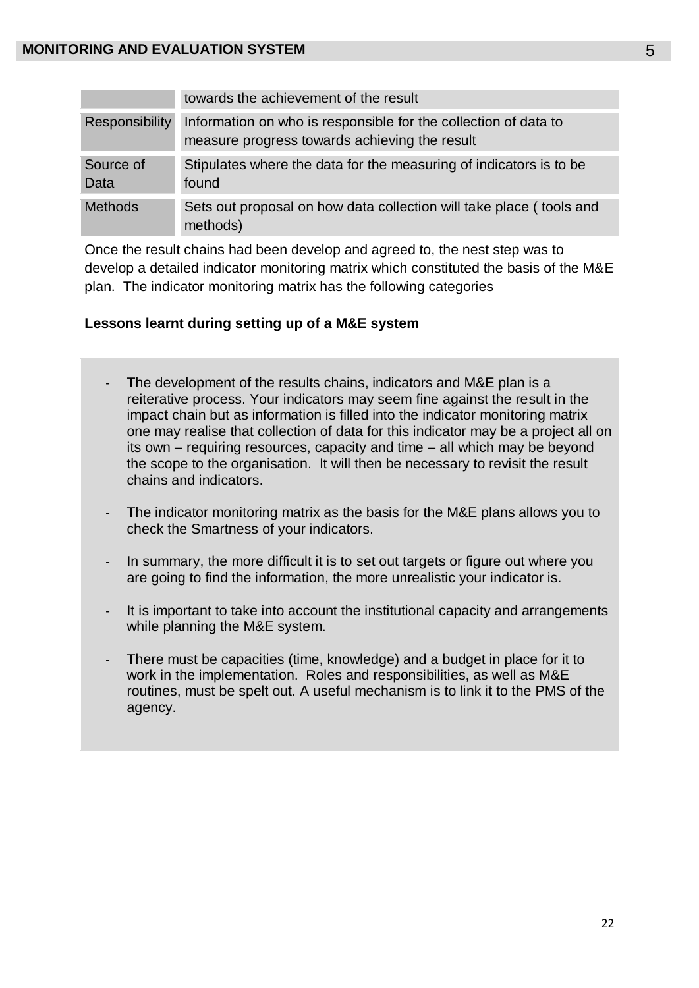|                       | towards the achievement of the result                                                                            |
|-----------------------|------------------------------------------------------------------------------------------------------------------|
| <b>Responsibility</b> | Information on who is responsible for the collection of data to<br>measure progress towards achieving the result |
| Source of<br>Data     | Stipulates where the data for the measuring of indicators is to be<br>found                                      |
| <b>Methods</b>        | Sets out proposal on how data collection will take place (tools and<br>methods)                                  |

Once the result chains had been develop and agreed to, the nest step was to develop a detailed indicator monitoring matrix which constituted the basis of the M&E plan. The indicator monitoring matrix has the following categories

# **Lessons learnt during setting up of a M&E system**

- The development of the results chains, indicators and M&E plan is a reiterative process. Your indicators may seem fine against the result in the impact chain but as information is filled into the indicator monitoring matrix one may realise that collection of data for this indicator may be a project all on its own – requiring resources, capacity and time – all which may be beyond the scope to the organisation. It will then be necessary to revisit the result chains and indicators.
- The indicator monitoring matrix as the basis for the M&E plans allows you to check the Smartness of your indicators.
- In summary, the more difficult it is to set out targets or figure out where you are going to find the information, the more unrealistic your indicator is.
- It is important to take into account the institutional capacity and arrangements while planning the M&E system.
- There must be capacities (time, knowledge) and a budget in place for it to work in the implementation. Roles and responsibilities, as well as M&E routines, must be spelt out. A useful mechanism is to link it to the PMS of the agency.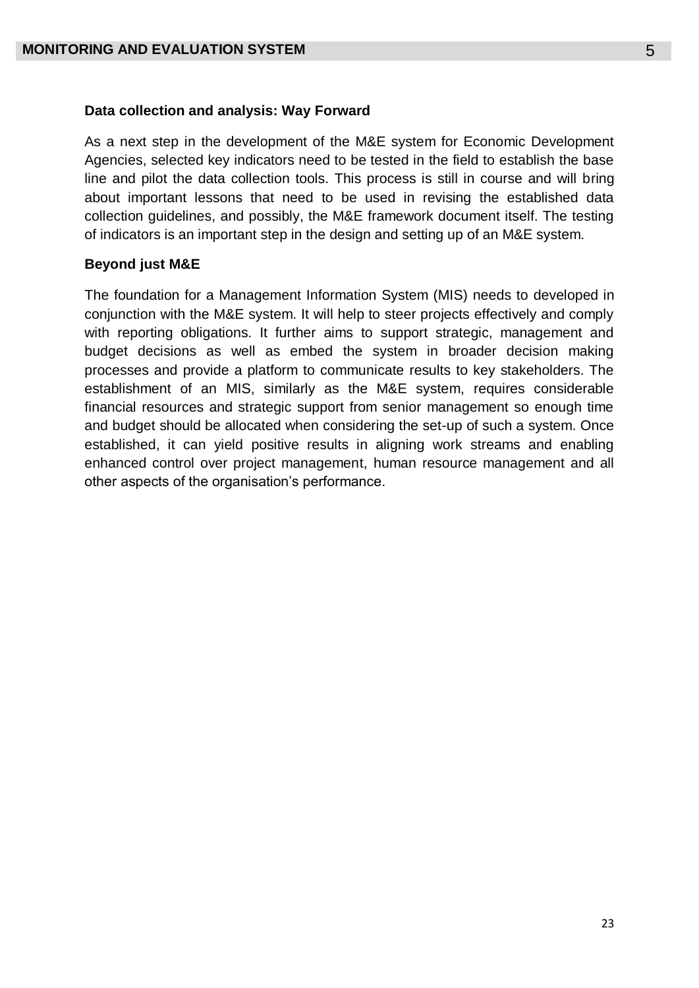#### **Data collection and analysis: Way Forward**

As a next step in the development of the M&E system for Economic Development Agencies, selected key indicators need to be tested in the field to establish the base line and pilot the data collection tools. This process is still in course and will bring about important lessons that need to be used in revising the established data collection guidelines, and possibly, the M&E framework document itself. The testing of indicators is an important step in the design and setting up of an M&E system.

#### **Beyond just M&E**

The foundation for a Management Information System (MIS) needs to developed in conjunction with the M&E system. It will help to steer projects effectively and comply with reporting obligations. It further aims to support strategic, management and budget decisions as well as embed the system in broader decision making processes and provide a platform to communicate results to key stakeholders. The establishment of an MIS, similarly as the M&E system, requires considerable financial resources and strategic support from senior management so enough time and budget should be allocated when considering the set-up of such a system. Once established, it can yield positive results in aligning work streams and enabling enhanced control over project management, human resource management and all other aspects of the organisation's performance.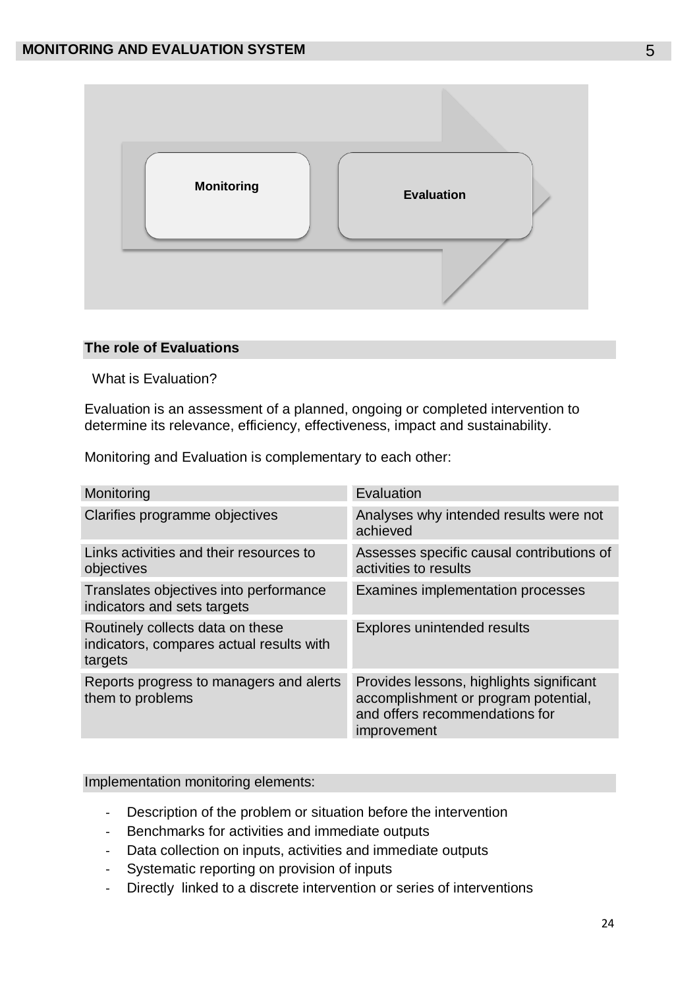

### **The role of Evaluations**

What is Evaluation?

Evaluation is an assessment of a planned, ongoing or completed intervention to determine its relevance, efficiency, effectiveness, impact and sustainability.

Monitoring and Evaluation is complementary to each other:

| Monitoring                                                                              | Evaluation                                                                                                                        |
|-----------------------------------------------------------------------------------------|-----------------------------------------------------------------------------------------------------------------------------------|
| Clarifies programme objectives                                                          | Analyses why intended results were not<br>achieved                                                                                |
| Links activities and their resources to<br>objectives                                   | Assesses specific causal contributions of<br>activities to results                                                                |
| Translates objectives into performance<br>indicators and sets targets                   | Examines implementation processes                                                                                                 |
| Routinely collects data on these<br>indicators, compares actual results with<br>targets | <b>Explores unintended results</b>                                                                                                |
| Reports progress to managers and alerts<br>them to problems                             | Provides lessons, highlights significant<br>accomplishment or program potential,<br>and offers recommendations for<br>improvement |

#### Implementation monitoring elements:

- Description of the problem or situation before the intervention
- Benchmarks for activities and immediate outputs
- Data collection on inputs, activities and immediate outputs
- Systematic reporting on provision of inputs
- Directly linked to a discrete intervention or series of interventions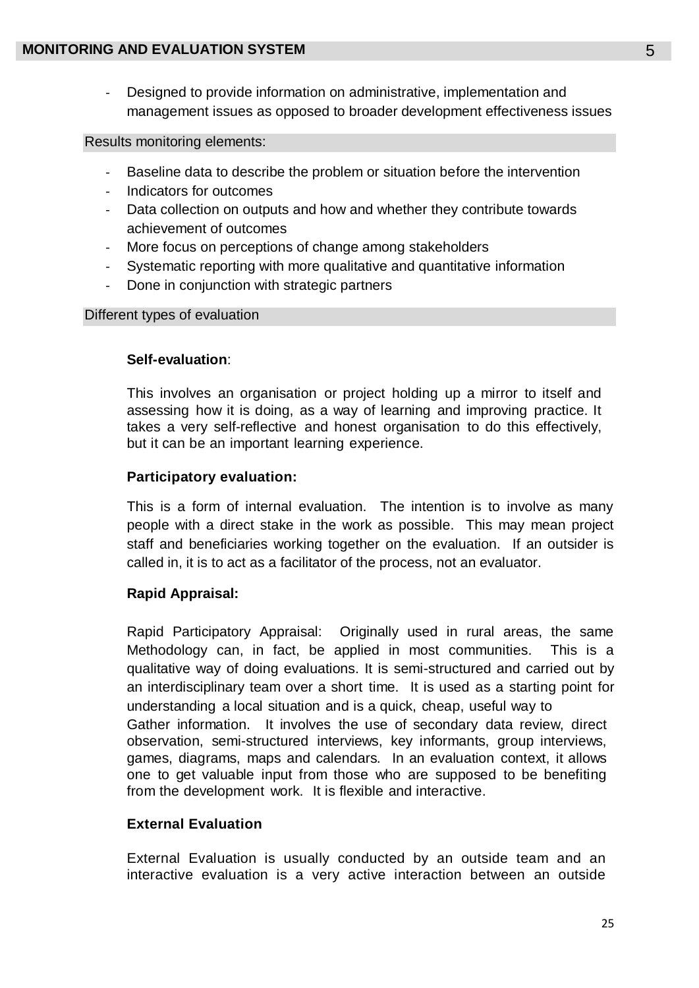- Designed to provide information on administrative, implementation and management issues as opposed to broader development effectiveness issues

# Results monitoring elements:

- Baseline data to describe the problem or situation before the intervention
- Indicators for outcomes
- Data collection on outputs and how and whether they contribute towards achievement of outcomes
- More focus on perceptions of change among stakeholders
- Systematic reporting with more qualitative and quantitative information
- Done in conjunction with strategic partners

# Different types of evaluation

# **Self-evaluation**:

This involves an organisation or project holding up a mirror to itself and assessing how it is doing, as a way of learning and improving practice. It takes a very self-reflective and honest organisation to do this effectively, but it can be an important learning experience.

# **Participatory evaluation:**

This is a form of internal evaluation. The intention is to involve as many people with a direct stake in the work as possible. This may mean project staff and beneficiaries working together on the evaluation. If an outsider is called in, it is to act as a facilitator of the process, not an evaluator.

# **Rapid Appraisal:**

Rapid Participatory Appraisal: Originally used in rural areas, the same Methodology can, in fact, be applied in most communities. This is a qualitative way of doing evaluations. It is semi-structured and carried out by an interdisciplinary team over a short time. It is used as a starting point for understanding a local situation and is a quick, cheap, useful way to Gather information. It involves the use of secondary data review, direct observation, semi-structured interviews, key informants, group interviews, games, diagrams, maps and calendars. In an evaluation context, it allows one to get valuable input from those who are supposed to be benefiting from the development work. It is flexible and interactive.

# **External Evaluation**

External Evaluation is usually conducted by an outside team and an interactive evaluation is a very active interaction between an outside